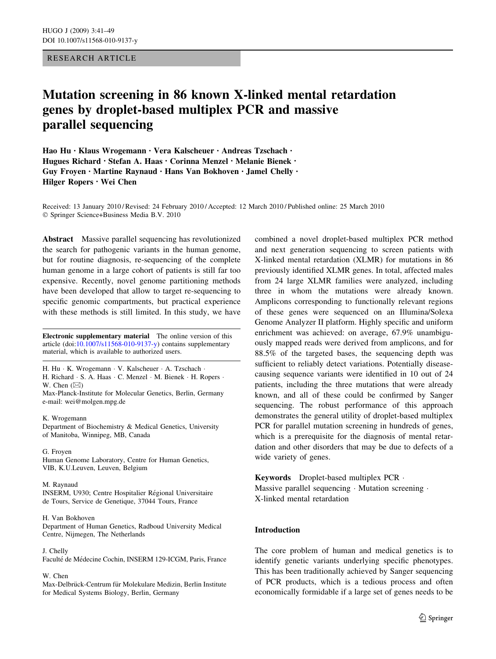# RESEARCH ARTICLE

# Mutation screening in 86 known X-linked mental retardation genes by droplet-based multiplex PCR and massive parallel sequencing

Hao Hu • Klaus Wrogemann • Vera Kalscheuer • Andreas Tzschach • Hugues Richard • Stefan A. Haas • Corinna Menzel • Melanie Bienek • Guy Froyen • Martine Raynaud • Hans Van Bokhoven • Jamel Chelly • Hilger Ropers • Wei Chen

Received: 13 January 2010 / Revised: 24 February 2010 / Accepted: 12 March 2010 / Published online: 25 March 2010 - Springer Science+Business Media B.V. 2010

Abstract Massive parallel sequencing has revolutionized the search for pathogenic variants in the human genome, but for routine diagnosis, re-sequencing of the complete human genome in a large cohort of patients is still far too expensive. Recently, novel genome partitioning methods have been developed that allow to target re-sequencing to specific genomic compartments, but practical experience with these methods is still limited. In this study, we have

Electronic supplementary material The online version of this article (doi:[10.1007/s11568-010-9137-y\)](http://dx.doi.org/10.1007/s11568-010-9137-y) contains supplementary material, which is available to authorized users.

H. Hu - K. Wrogemann - V. Kalscheuer - A. Tzschach - H. Richard · S. A. Haas · C. Menzel · M. Bienek · H. Ropers · W. Chen  $(\boxtimes)$ 

Max-Planck-Institute for Molecular Genetics, Berlin, Germany e-mail: wei@molgen.mpg.de

### K. Wrogemann

Department of Biochemistry & Medical Genetics, University of Manitoba, Winnipeg, MB, Canada

### G. Froyen

Human Genome Laboratory, Centre for Human Genetics, VIB, K.U.Leuven, Leuven, Belgium

### M. Raynaud

INSERM, U930; Centre Hospitalier Régional Universitaire de Tours, Service de Genetique, 37044 Tours, France

# H. Van Bokhoven

Department of Human Genetics, Radboud University Medical Centre, Nijmegen, The Netherlands

#### J. Chelly

Faculté de Médecine Cochin, INSERM 129-ICGM, Paris, France

# W. Chen

Max-Delbrück-Centrum für Molekulare Medizin, Berlin Institute for Medical Systems Biology, Berlin, Germany

combined a novel droplet-based multiplex PCR method and next generation sequencing to screen patients with X-linked mental retardation (XLMR) for mutations in 86 previously identified XLMR genes. In total, affected males from 24 large XLMR families were analyzed, including three in whom the mutations were already known. Amplicons corresponding to functionally relevant regions of these genes were sequenced on an Illumina/Solexa Genome Analyzer II platform. Highly specific and uniform enrichment was achieved: on average, 67.9% unambiguously mapped reads were derived from amplicons, and for 88.5% of the targeted bases, the sequencing depth was sufficient to reliably detect variations. Potentially diseasecausing sequence variants were identified in 10 out of 24 patients, including the three mutations that were already known, and all of these could be confirmed by Sanger sequencing. The robust performance of this approach demonstrates the general utility of droplet-based multiplex PCR for parallel mutation screening in hundreds of genes, which is a prerequisite for the diagnosis of mental retardation and other disorders that may be due to defects of a wide variety of genes.

# Keywords Droplet-based multiplex PCR -

Massive parallel sequencing · Mutation screening · X-linked mental retardation

# Introduction

The core problem of human and medical genetics is to identify genetic variants underlying specific phenotypes. This has been traditionally achieved by Sanger sequencing of PCR products, which is a tedious process and often economically formidable if a large set of genes needs to be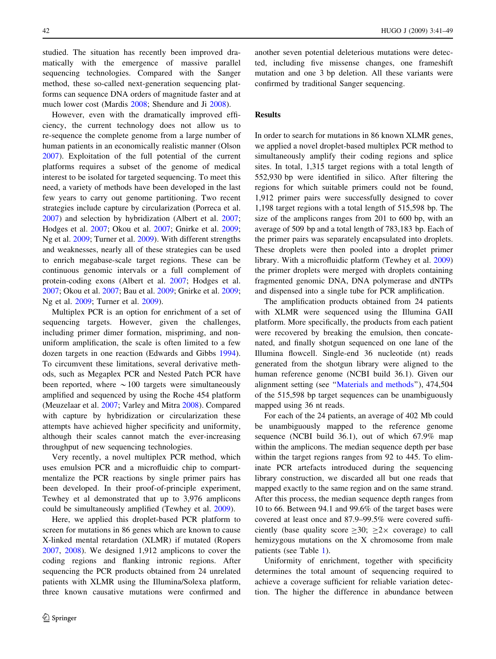studied. The situation has recently been improved dramatically with the emergence of massive parallel sequencing technologies. Compared with the Sanger method, these so-called next-generation sequencing platforms can sequence DNA orders of magnitude faster and at much lower cost (Mardis [2008;](#page-7-0) Shendure and Ji [2008\)](#page-8-0).

However, even with the dramatically improved efficiency, the current technology does not allow us to re-sequence the complete genome from a large number of human patients in an economically realistic manner (Olson [2007\)](#page-7-0). Exploitation of the full potential of the current platforms requires a subset of the genome of medical interest to be isolated for targeted sequencing. To meet this need, a variety of methods have been developed in the last few years to carry out genome partitioning. Two recent strategies include capture by circularization (Porreca et al. [2007\)](#page-7-0) and selection by hybridization (Albert et al. [2007](#page-7-0); Hodges et al. [2007;](#page-7-0) Okou et al. [2007;](#page-7-0) Gnirke et al. [2009](#page-7-0); Ng et al. [2009;](#page-7-0) Turner et al. [2009](#page-8-0)). With different strengths and weaknesses, nearly all of these strategies can be used to enrich megabase-scale target regions. These can be continuous genomic intervals or a full complement of protein-coding exons (Albert et al. [2007;](#page-7-0) Hodges et al. [2007;](#page-7-0) Okou et al. [2007;](#page-7-0) Bau et al. [2009;](#page-7-0) Gnirke et al. [2009](#page-7-0); Ng et al. [2009](#page-7-0); Turner et al. [2009](#page-8-0)).

Multiplex PCR is an option for enrichment of a set of sequencing targets. However, given the challenges, including primer dimer formation, mispriming, and nonuniform amplification, the scale is often limited to a few dozen targets in one reaction (Edwards and Gibbs [1994](#page-7-0)). To circumvent these limitations, several derivative methods, such as Megaplex PCR and Nested Patch PCR have been reported, where  $\sim 100$  targets were simultaneously amplified and sequenced by using the Roche 454 platform (Meuzelaar et al. [2007;](#page-7-0) Varley and Mitra [2008\)](#page-8-0). Compared with capture by hybridization or circularization these attempts have achieved higher specificity and uniformity, although their scales cannot match the ever-increasing throughput of new sequencing technologies.

Very recently, a novel multiplex PCR method, which uses emulsion PCR and a microfluidic chip to compartmentalize the PCR reactions by single primer pairs has been developed. In their proof-of-principle experiment, Tewhey et al demonstrated that up to 3,976 amplicons could be simultaneously amplified (Tewhey et al. [2009](#page-8-0)).

Here, we applied this droplet-based PCR platform to screen for mutations in 86 genes which are known to cause X-linked mental retardation (XLMR) if mutated (Ropers [2007,](#page-7-0) [2008\)](#page-8-0). We designed 1,912 amplicons to cover the coding regions and flanking intronic regions. After sequencing the PCR products obtained from 24 unrelated patients with XLMR using the Illumina/Solexa platform, three known causative mutations were confirmed and

another seven potential deleterious mutations were detected, including five missense changes, one frameshift mutation and one 3 bp deletion. All these variants were confirmed by traditional Sanger sequencing.

# Results

In order to search for mutations in 86 known XLMR genes, we applied a novel droplet-based multiplex PCR method to simultaneously amplify their coding regions and splice sites. In total, 1,315 target regions with a total length of 552,930 bp were identified in silico. After filtering the regions for which suitable primers could not be found, 1,912 primer pairs were successfully designed to cover 1,198 target regions with a total length of 515,598 bp. The size of the amplicons ranges from 201 to 600 bp, with an average of 509 bp and a total length of 783,183 bp. Each of the primer pairs was separately encapsulated into droplets. These droplets were then pooled into a droplet primer library. With a microfluidic platform (Tewhey et al. [2009\)](#page-8-0) the primer droplets were merged with droplets containing fragmented genomic DNA, DNA polymerase and dNTPs and dispensed into a single tube for PCR amplification.

The amplification products obtained from 24 patients with XLMR were sequenced using the Illumina GAII platform. More specifically, the products from each patient were recovered by breaking the emulsion, then concatenated, and finally shotgun sequenced on one lane of the Illumina flowcell. Single-end 36 nucleotide (nt) reads generated from the shotgun library were aligned to the human reference genome (NCBI build 36.1). Given our alignment setting (see '['Materials and methods](#page-5-0)''), 474,504 of the 515,598 bp target sequences can be unambiguously mapped using 36 nt reads.

For each of the 24 patients, an average of 402 Mb could be unambiguously mapped to the reference genome sequence (NCBI build 36.1), out of which 67.9% map within the amplicons. The median sequence depth per base within the target regions ranges from 92 to 445. To eliminate PCR artefacts introduced during the sequencing library construction, we discarded all but one reads that mapped exactly to the same region and on the same strand. After this process, the median sequence depth ranges from 10 to 66. Between 94.1 and 99.6% of the target bases were covered at least once and 87.9–99.5% were covered sufficiently (base quality score  $\geq 30$ ;  $\geq 2 \times$  coverage) to call hemizygous mutations on the X chromosome from male patients (see Table [1](#page-2-0)).

Uniformity of enrichment, together with specificity determines the total amount of sequencing required to achieve a coverage sufficient for reliable variation detection. The higher the difference in abundance between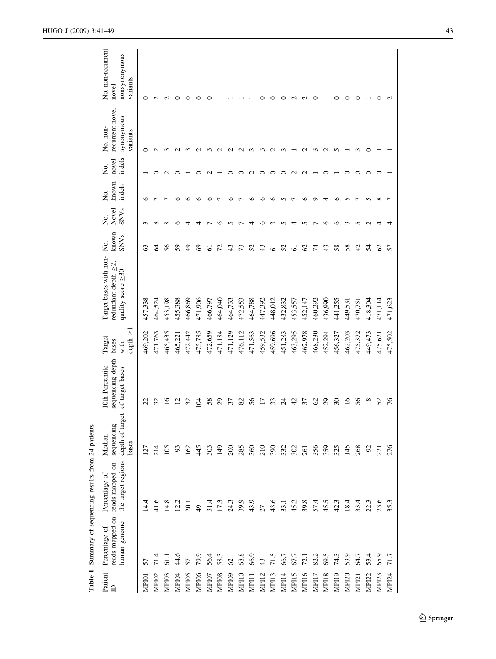<span id="page-2-0"></span>

| No. non-recurrent<br>nonsynonymous<br>variants<br>novel                         | ∊            | $\sim$            | $\sim$  |         |               |                |         |                   |               |         |         |         |         |                          |         |                  |               |         |         |               |                   |                   |                   |                   |
|---------------------------------------------------------------------------------|--------------|-------------------|---------|---------|---------------|----------------|---------|-------------------|---------------|---------|---------|---------|---------|--------------------------|---------|------------------|---------------|---------|---------|---------------|-------------------|-------------------|-------------------|-------------------|
| recurrent novel<br>synonymous<br>No. non-<br>variants                           | ∊            | $\sim$            |         |         |               |                |         | $\sim$            |               |         |         |         |         |                          |         |                  |               |         |         |               |                   |                   |                   |                   |
| indels<br>novel<br>Ź.                                                           |              |                   |         |         |               |                |         |                   |               |         |         |         |         |                          |         |                  |               |         |         |               |                   |                   |                   |                   |
| known<br>indels<br>ğ.                                                           | ℃            |                   |         | ∽       | ∽             | ⊄              | c       |                   | ∽             |         | ∽       | ⊄       | ≏       | n                        |         | €                | o             |         | ∽       | n             |                   | n                 | $_{\infty}$       |                   |
| Novel<br><b>SNVs</b><br>Χo.                                                     |              |                   |         |         |               |                |         |                   |               |         |         |         |         |                          |         |                  |               |         |         |               |                   |                   |                   |                   |
| known<br>SNVs<br>Χo.                                                            | ගි           | 2                 | 56      | 59      | $\frac{9}{4}$ | 3              | 5       | 72                | 43            | 13      | 52      | 43      | 5       | 52                       | 5       | 8                | 74            | 43      | 58      | 58            | 42                | 24                | $\mathcal{S}$     | 57                |
| Target bases with non-<br>redundant depth $\geq 2$ ,<br>quality score $\geq 30$ | 457,338      | 464,524           | 453,198 | 455,388 | 466,869       | 471,906        | 466,797 | 464,040           | 464,733       | 472,553 | 464,788 | 447,392 | 448,012 | 432,832                  | 453,557 | 452,147          | 460,292       | 436,990 | 441,255 | 449,531       | 470,751           | 418,304           | 471,114           | 471,623           |
| $\overline{\wedge}$<br>Target<br>depth<br>bases<br>with                         | 469,202      | 471,763           | 465,435 | 465,221 | 472,442       | 475,785        | 472,659 | 471,184           | 471,129       | 476,112 | 471,563 | 459,532 | 459,696 | 451,283                  | 463,295 | 462,978          | 468,230       | 452,294 | 456,327 | 462,203       | 475,372           | 449,473           | 475,621           | 475,502           |
| sequencing depth<br>10th Percentile<br>of target bases                          | 22           | 32                |         |         | 32            | ই              | 58      | $\mathcal{S}^2$   | 57            | 82      | 56      | Ξ       | ඝ       | $\overline{\mathcal{L}}$ | 42      | 57               | $\mathcal{S}$ | 29      | నె      | $\frac{6}{2}$ | 56                | $^{\circ}$        | 25                | 76                |
| depth of target<br>sequencing<br>Median<br>bases                                | 127          | 214               | 105     | 93      | 162           | 445            | 303     | 149               | 200           | 285     | 360     | 210     | 390     | 332                      | 302     | 261              | 356           | 359     | 325     | 145           | 268               | $\mathfrak{S}$    | $\overline{21}$   | 276               |
| the target regions<br>reads mapped on<br>Percentage of                          | 14.4         | 41.6              | 14.8    | 12.2    | 20.1          | $\overline{6}$ | 31.4    | 17.3              | 24.3          | 39.9    | 43.9    | 27      | 43.6    | 33.1                     | 45.2    | 39.8             | 57.4          | 45.5    | 42.3    | 18.4          | 33.4              | 22.3              | 23.6              | 35.3              |
| reads mapped on<br>human genome<br>Percentage of                                | 57           | 71.4              | 61.1    | 44.6    | 57            | 79.9           | 56.4    | 58.3              | $\mathcal{O}$ | 68.8    | 66.9    | 43      | 71.5    | 66.7                     | 67.7    | 72.1             | 82.2          | 69.5    | 74.3    | 53.9          | 64.7              | 53.4              | 65.9              | 71.7              |
| Patient<br>$\triangleright$                                                     | <b>MPI01</b> | MPI <sub>02</sub> | MPI03   | MPI04   | MPI05         | <b>MPI06</b>   | MPI07   | MPI <sub>08</sub> | MPI09         | MP10    | MPI11   | MP112   | MP13    | MP14                     | MP15    | MP <sub>16</sub> | MP17          | MPI18   | MP19    | <b>MPI20</b>  | MP <sub>121</sub> | MPI <sub>22</sub> | MPI <sub>23</sub> | MP <sub>124</sub> |

Table 1 Summary of sequencing results from 24 patients

Table 1 Summary of sequencing results from 24 patients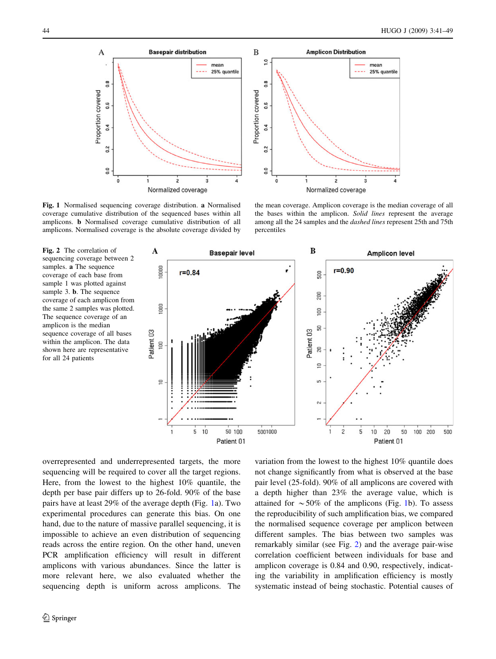

Fig. 1 Normalised sequencing coverage distribution. a Normalised coverage cumulative distribution of the sequenced bases within all amplicons. b Normalised coverage cumulative distribution of all amplicons. Normalised coverage is the absolute coverage divided by

the mean coverage. Amplicon coverage is the median coverage of all the bases within the amplicon. Solid lines represent the average among all the 24 samples and the dashed lines represent 25th and 75th percentiles

Fig. 2 The correlation of sequencing coverage between 2 samples. a The sequence coverage of each base from sample 1 was plotted against sample 3. **b**. The sequence coverage of each amplicon from the same 2 samples was plotted. The sequence coverage of an amplicon is the median sequence coverage of all bases within the amplicon. The data shown here are representative for all 24 patients



overrepresented and underrepresented targets, the more sequencing will be required to cover all the target regions. Here, from the lowest to the highest 10% quantile, the depth per base pair differs up to 26-fold. 90% of the base pairs have at least 29% of the average depth (Fig. 1a). Two experimental procedures can generate this bias. On one hand, due to the nature of massive parallel sequencing, it is impossible to achieve an even distribution of sequencing reads across the entire region. On the other hand, uneven PCR amplification efficiency will result in different amplicons with various abundances. Since the latter is more relevant here, we also evaluated whether the sequencing depth is uniform across amplicons. The

variation from the lowest to the highest 10% quantile does not change significantly from what is observed at the base pair level (25-fold). 90% of all amplicons are covered with a depth higher than 23% the average value, which is attained for  $\sim 50\%$  of the amplicons (Fig. 1b). To assess the reproducibility of such amplification bias, we compared the normalised sequence coverage per amplicon between different samples. The bias between two samples was remarkably similar (see Fig. 2) and the average pair-wise correlation coefficient between individuals for base and amplicon coverage is 0.84 and 0.90, respectively, indicating the variability in amplification efficiency is mostly systematic instead of being stochastic. Potential causes of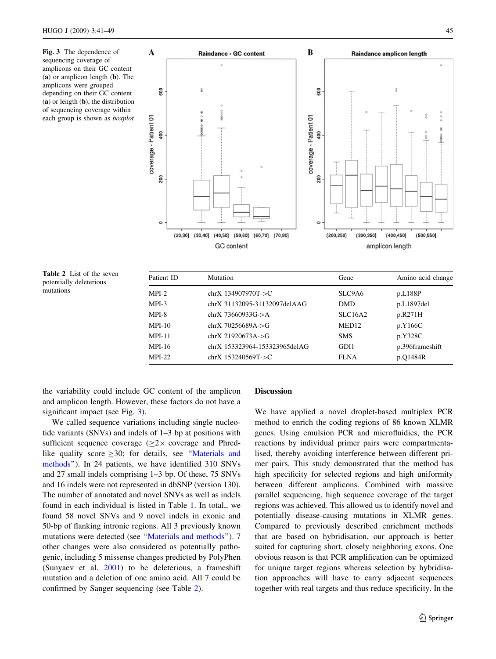Fig. 3 The dependence of sequencing coverage of amplicons on their GC content (a) or amplicon length (b). The amplicons were grouped depending on their GC content (a) or length (b), the distribution of sequencing coverage within each group is shown as boxplot



Table 2 List of the seven potentially deleterious mutations

| Patient ID | Mutation                       | Gene           | Amino acid change |
|------------|--------------------------------|----------------|-------------------|
| $MPI-2$    | $chrX 134907970T-SC$           | SLC9A6         | p.L188P           |
| $MPI-3$    | chrX 31132095-31132097delAAG   | <b>DMD</b>     | p.L1897del        |
| MPI-8      | $chrX 73660933G - > A$         | <b>SLC16A2</b> | p.R271H           |
| $MPI-10$   | $chrX 70256689A \rightarrow G$ | MED12          | p.Y166C           |
| $MPI-11$   | $chrX 21920673A \rightarrow G$ | <b>SMS</b>     | p.Y328C           |
| MPI-16     | chrX 153323964-153323965delAG  | GDI1           | p.396frameshift   |
| $MPI-22$   | chrX $153240569T$ ->C          | <b>FLNA</b>    | p.01484R          |

the variability could include GC content of the amplicon and amplicon length. However, these factors do not have a significant impact (see Fig. 3).

We called sequence variations including single nucleotide variants (SNVs) and indels of 1–3 bp at positions with sufficient sequence coverage  $(2 \times 2 \times 2)$  coverage and Phredlike quality score  $\geq 30$ ; for details, see "Materials and [methods'](#page-5-0)'). In 24 patients, we have identified 310 SNVs and 27 small indels comprising 1–3 bp. Of these, 75 SNVs and 16 indels were not represented in dbSNP (version 130). The number of annotated and novel SNVs as well as indels found in each individual is listed in Table [1](#page-2-0). In total,, we found 58 novel SNVs and 9 novel indels in exonic and 50-bp of flanking intronic regions. All 3 previously known mutations were detected (see '['Materials and methods'](#page-5-0)'). 7 other changes were also considered as potentially pathogenic, including 5 missense changes predicted by PolyPhen (Sunyaev et al. [2001\)](#page-8-0) to be deleterious, a frameshift mutation and a deletion of one amino acid. All 7 could be confirmed by Sanger sequencing (see Table 2).

# Discussion

We have applied a novel droplet-based multiplex PCR method to enrich the coding regions of 86 known XLMR genes. Using emulsion PCR and microfluidics, the PCR reactions by individual primer pairs were compartmentalised, thereby avoiding interference between different primer pairs. This study demonstrated that the method has high specificity for selected regions and high uniformity between different amplicons. Combined with massive parallel sequencing, high sequence coverage of the target regions was achieved. This allowed us to identify novel and potentially disease-causing mutations in XLMR genes. Compared to previously described enrichment methods that are based on hybridisation, our approach is better suited for capturing short, closely neighboring exons. One obvious reason is that PCR amplification can be optimized for unique target regions whereas selection by hybridisation approaches will have to carry adjacent sequences together with real targets and thus reduce specificity. In the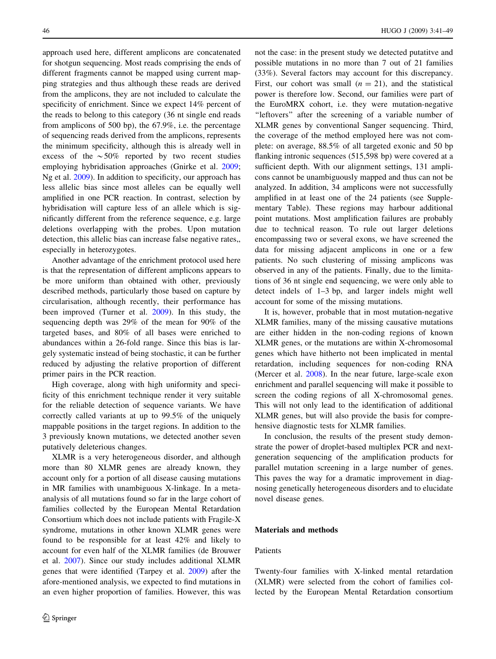<span id="page-5-0"></span>approach used here, different amplicons are concatenated for shotgun sequencing. Most reads comprising the ends of different fragments cannot be mapped using current mapping strategies and thus although these reads are derived from the amplicons, they are not included to calculate the specificity of enrichment. Since we expect 14% percent of the reads to belong to this category (36 nt single end reads from amplicons of 500 bp), the 67.9%, i.e. the percentage of sequencing reads derived from the amplicons, represents the minimum specificity, although this is already well in excess of the  $\sim 50\%$  reported by two recent studies employing hybridisation approaches (Gnirke et al. [2009](#page-7-0); Ng et al. [2009](#page-7-0)). In addition to specificity, our approach has less allelic bias since most alleles can be equally well amplified in one PCR reaction. In contrast, selection by hybridisation will capture less of an allele which is significantly different from the reference sequence, e.g. large deletions overlapping with the probes. Upon mutation detection, this allelic bias can increase false negative rates,, especially in heterozygotes.

Another advantage of the enrichment protocol used here is that the representation of different amplicons appears to be more uniform than obtained with other, previously described methods, particularly those based on capture by circularisation, although recently, their performance has been improved (Turner et al. [2009\)](#page-8-0). In this study, the sequencing depth was 29% of the mean for 90% of the targeted bases, and 80% of all bases were enriched to abundances within a 26-fold range. Since this bias is largely systematic instead of being stochastic, it can be further reduced by adjusting the relative proportion of different primer pairs in the PCR reaction.

High coverage, along with high uniformity and specificity of this enrichment technique render it very suitable for the reliable detection of sequence variants. We have correctly called variants at up to 99.5% of the uniquely mappable positions in the target regions. In addition to the 3 previously known mutations, we detected another seven putatively deleterious changes.

XLMR is a very heterogeneous disorder, and although more than 80 XLMR genes are already known, they account only for a portion of all disease causing mutations in MR families with unambiguous X-linkage. In a metaanalysis of all mutations found so far in the large cohort of families collected by the European Mental Retardation Consortium which does not include patients with Fragile-X syndrome, mutations in other known XLMR genes were found to be responsible for at least 42% and likely to account for even half of the XLMR families (de Brouwer et al. [2007](#page-7-0)). Since our study includes additional XLMR genes that were identified (Tarpey et al. [2009](#page-8-0)) after the afore-mentioned analysis, we expected to find mutations in an even higher proportion of families. However, this was not the case: in the present study we detected putatitve and possible mutations in no more than 7 out of 21 families (33%). Several factors may account for this discrepancy. First, our cohort was small  $(n = 21)$ , and the statistical power is therefore low. Second, our families were part of the EuroMRX cohort, i.e. they were mutation-negative ''leftovers'' after the screening of a variable number of XLMR genes by conventional Sanger sequencing. Third, the coverage of the method employed here was not complete: on average, 88.5% of all targeted exonic and 50 bp flanking intronic sequences (515,598 bp) were covered at a sufficient depth. With our alignment settings, 131 amplicons cannot be unambiguously mapped and thus can not be analyzed. In addition, 34 amplicons were not successfully amplified in at least one of the 24 patients (see Supplementary Table). These regions may harbour additional point mutations. Most amplification failures are probably due to technical reason. To rule out larger deletions encompassing two or several exons, we have screened the data for missing adjacent amplicons in one or a few patients. No such clustering of missing amplicons was observed in any of the patients. Finally, due to the limitations of 36 nt single end sequencing, we were only able to detect indels of 1–3 bp, and larger indels might well account for some of the missing mutations.

It is, however, probable that in most mutation-negative XLMR families, many of the missing causative mutations are either hidden in the non-coding regions of known XLMR genes, or the mutations are within X-chromosomal genes which have hitherto not been implicated in mental retardation, including sequences for non-coding RNA (Mercer et al. [2008](#page-7-0)). In the near future, large-scale exon enrichment and parallel sequencing will make it possible to screen the coding regions of all X-chromosomal genes. This will not only lead to the identification of additional XLMR genes, but will also provide the basis for comprehensive diagnostic tests for XLMR families.

In conclusion, the results of the present study demonstrate the power of droplet-based multiplex PCR and nextgeneration sequencing of the amplification products for parallel mutation screening in a large number of genes. This paves the way for a dramatic improvement in diagnosing genetically heterogeneous disorders and to elucidate novel disease genes.

# Materials and methods

# Patients

Twenty-four families with X-linked mental retardation (XLMR) were selected from the cohort of families collected by the European Mental Retardation consortium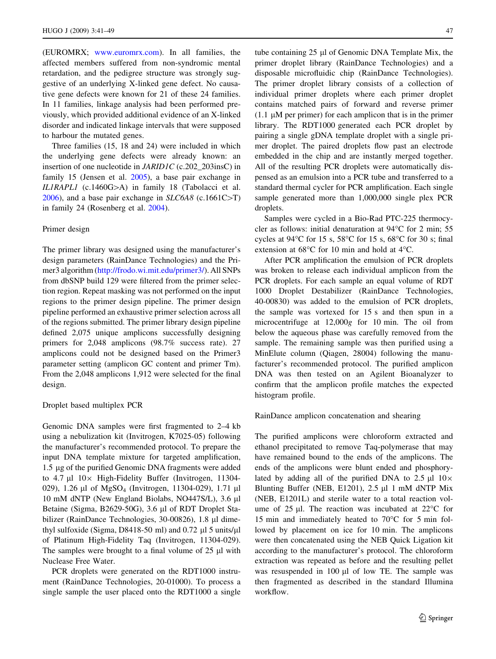(EUROMRX; [www.euromrx.com](http://www.euromrx.com)). In all families, the affected members suffered from non-syndromic mental retardation, and the pedigree structure was strongly suggestive of an underlying X-linked gene defect. No causative gene defects were known for 21 of these 24 families. In 11 families, linkage analysis had been performed previously, which provided additional evidence of an X-linked disorder and indicated linkage intervals that were supposed to harbour the mutated genes.

Three families (15, 18 and 24) were included in which the underlying gene defects were already known: an insertion of one nucleotide in JARID1C (c.202\_203insC) in family 15 (Jensen et al. [2005\)](#page-7-0), a base pair exchange in IL1RAPL1 (c.1460G $>$ A) in family 18 (Tabolacci et al. [2006\)](#page-8-0), and a base pair exchange in  $SLC6A8$  (c.1661C>T) in family 24 (Rosenberg et al. [2004](#page-8-0)).

### Primer design

The primer library was designed using the manufacturer's design parameters (RainDance Technologies) and the Primer3 algorithm [\(http://frodo.wi.mit.edu/primer3/](http://frodo.wi.mit.edu/primer3/)). All SNPs from dbSNP build 129 were filtered from the primer selection region. Repeat masking was not performed on the input regions to the primer design pipeline. The primer design pipeline performed an exhaustive primer selection across all of the regions submitted. The primer library design pipeline defined 2,075 unique amplicons successfully designing primers for 2,048 amplicons (98.7% success rate). 27 amplicons could not be designed based on the Primer3 parameter setting (amplicon GC content and primer Tm). From the 2,048 amplicons 1,912 were selected for the final design.

### Droplet based multiplex PCR

Genomic DNA samples were first fragmented to 2–4 kb using a nebulization kit (Invitrogen, K7025-05) following the manufacturer's recommended protocol. To prepare the input DNA template mixture for targeted amplification, 1.5 lg of the purified Genomic DNA fragments were added to  $4.7 \mu$ l  $10 \times$  High-Fidelity Buffer (Invitrogen, 11304-029), 1.26 µl of MgSO<sub>4</sub> (Invitrogen, 11304-029), 1.71 µl 10 mM dNTP (New England Biolabs, NO447S/L), 3.6 µl Betaine (Sigma, B2629-50G), 3.6 µl of RDT Droplet Stabilizer (RainDance Technologies, 30-00826), 1.8 µl dimethyl sulfoxide (Sigma, D8418-50 ml) and  $0.72 \mu$ l 5 units/ $\mu$ l of Platinum High-Fidelity Taq (Invitrogen, 11304-029). The samples were brought to a final volume of  $25 \mu l$  with Nuclease Free Water.

PCR droplets were generated on the RDT1000 instrument (RainDance Technologies, 20-01000). To process a single sample the user placed onto the RDT1000 a single

tube containing 25 ul of Genomic DNA Template Mix, the primer droplet library (RainDance Technologies) and a disposable microfluidic chip (RainDance Technologies). The primer droplet library consists of a collection of individual primer droplets where each primer droplet contains matched pairs of forward and reverse primer (1.1  $\mu$ M per primer) for each amplicon that is in the primer library. The RDT1000 generated each PCR droplet by pairing a single gDNA template droplet with a single primer droplet. The paired droplets flow past an electrode embedded in the chip and are instantly merged together. All of the resulting PCR droplets were automatically dispensed as an emulsion into a PCR tube and transferred to a standard thermal cycler for PCR amplification. Each single sample generated more than 1,000,000 single plex PCR droplets.

Samples were cycled in a Bio-Rad PTC-225 thermocycler as follows: initial denaturation at  $94^{\circ}$ C for 2 min; 55 cycles at 94 $\degree$ C for 15 s, 58 $\degree$ C for 15 s, 68 $\degree$ C for 30 s; final extension at  $68^{\circ}$ C for 10 min and hold at  $4^{\circ}$ C.

After PCR amplification the emulsion of PCR droplets was broken to release each individual amplicon from the PCR droplets. For each sample an equal volume of RDT 1000 Droplet Destabilizer (RainDance Technologies, 40-00830) was added to the emulsion of PCR droplets, the sample was vortexed for 15 s and then spun in a microcentrifuge at 12,000g for 10 min. The oil from below the aqueous phase was carefully removed from the sample. The remaining sample was then purified using a MinElute column (Qiagen, 28004) following the manufacturer's recommended protocol. The purified amplicon DNA was then tested on an Agilent Bioanalyzer to confirm that the amplicon profile matches the expected histogram profile.

RainDance amplicon concatenation and shearing

The purified amplicons were chloroform extracted and ethanol precipitated to remove Taq-polymerase that may have remained bound to the ends of the amplicons. The ends of the amplicons were blunt ended and phosphorylated by adding all of the purified DNA to 2.5  $\mu$ l 10 $\times$ Blunting Buffer (NEB, E1201),  $2.5 \mu$ 1 nM dNTP Mix (NEB, E1201L) and sterile water to a total reaction volume of 25  $\mu$ l. The reaction was incubated at 22 $\degree$ C for 15 min and immediately heated to  $70^{\circ}$ C for 5 min followed by placement on ice for 10 min. The amplicons were then concatenated using the NEB Quick Ligation kit according to the manufacturer's protocol. The chloroform extraction was repeated as before and the resulting pellet was resuspended in  $100 \mu l$  of low TE. The sample was then fragmented as described in the standard Illumina workflow.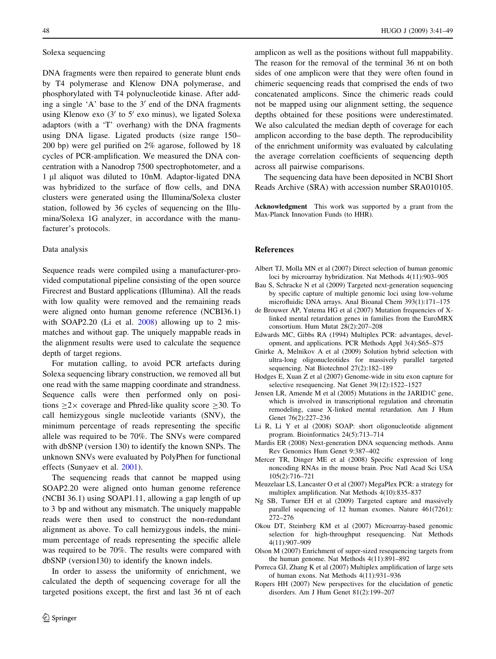# <span id="page-7-0"></span>Solexa sequencing

DNA fragments were then repaired to generate blunt ends by T4 polymerase and Klenow DNA polymerase, and phosphorylated with T4 polynucleotide kinase. After adding a single 'A' base to the  $3'$  end of the DNA fragments using Klenow exo  $(3'$  to  $5'$  exo minus), we ligated Solexa adaptors (with a 'T' overhang) with the DNA fragments using DNA ligase. Ligated products (size range 150– 200 bp) were gel purified on 2% agarose, followed by 18 cycles of PCR-amplification. We measured the DNA concentration with a Nanodrop 7500 spectrophotometer, and a 1 µl aliquot was diluted to 10nM. Adaptor-ligated DNA was hybridized to the surface of flow cells, and DNA clusters were generated using the Illumina/Solexa cluster station, followed by 36 cycles of sequencing on the Illumina/Solexa 1G analyzer, in accordance with the manufacturer's protocols.

### Data analysis

Sequence reads were compiled using a manufacturer-provided computational pipeline consisting of the open source Firecrest and Bustard applications (Illumina). All the reads with low quality were removed and the remaining reads were aligned onto human genome reference (NCBI36.1) with SOAP2.20 (Li et al. 2008) allowing up to 2 mismatches and without gap. The uniquely mappable reads in the alignment results were used to calculate the sequence depth of target regions.

For mutation calling, to avoid PCR artefacts during Solexa sequencing library construction, we removed all but one read with the same mapping coordinate and strandness. Sequence calls were then performed only on positions  $>2\times$  coverage and Phred-like quality score  $>30$ . To call hemizygous single nucleotide variants (SNV), the minimum percentage of reads representing the specific allele was required to be 70%. The SNVs were compared with dbSNP (version 130) to identify the known SNPs. The unknown SNVs were evaluated by PolyPhen for functional effects (Sunyaev et al. [2001\)](#page-8-0).

The sequencing reads that cannot be mapped using SOAP2.20 were aligned onto human genome reference (NCBI 36.1) using SOAP1.11, allowing a gap length of up to 3 bp and without any mismatch. The uniquely mappable reads were then used to construct the non-redundant alignment as above. To call hemizygous indels, the minimum percentage of reads representing the specific allele was required to be 70%. The results were compared with dbSNP (version130) to identify the known indels.

In order to assess the uniformity of enrichment, we calculated the depth of sequencing coverage for all the targeted positions except, the first and last 36 nt of each

amplicon as well as the positions without full mappability. The reason for the removal of the terminal 36 nt on both sides of one amplicon were that they were often found in chimeric sequencing reads that comprised the ends of two concatenated amplicons. Since the chimeric reads could not be mapped using our alignment setting, the sequence depths obtained for these positions were underestimated. We also calculated the median depth of coverage for each amplicon according to the base depth. The reproducibility of the enrichment uniformity was evaluated by calculating the average correlation coefficients of sequencing depth across all pairwise comparisons.

The sequencing data have been deposited in NCBI Short Reads Archive (SRA) with accession number SRA010105.

Acknowledgment This work was supported by a grant from the Max-Planck Innovation Funds (to HHR).

### References

- Albert TJ, Molla MN et al (2007) Direct selection of human genomic loci by microarray hybridization. Nat Methods 4(11):903–905
- Bau S, Schracke N et al (2009) Targeted next-generation sequencing by specific capture of multiple genomic loci using low-volume microfluidic DNA arrays. Anal Bioanal Chem 393(1):171–175
- de Brouwer AP, Yntema HG et al (2007) Mutation frequencies of Xlinked mental retardation genes in families from the EuroMRX consortium. Hum Mutat 28(2):207–208
- Edwards MC, Gibbs RA (1994) Multiplex PCR: advantages, development, and applications. PCR Methods Appl 3(4):S65–S75
- Gnirke A, Melnikov A et al (2009) Solution hybrid selection with ultra-long oligonucleotides for massively parallel targeted sequencing. Nat Biotechnol 27(2):182–189
- Hodges E, Xuan Z et al (2007) Genome-wide in situ exon capture for selective resequencing. Nat Genet 39(12):1522–1527
- Jensen LR, Amende M et al (2005) Mutations in the JARID1C gene, which is involved in transcriptional regulation and chromatin remodeling, cause X-linked mental retardation. Am J Hum Genet 76(2):227–236
- Li R, Li Y et al (2008) SOAP: short oligonucleotide alignment program. Bioinformatics 24(5):713–714
- Mardis ER (2008) Next-generation DNA sequencing methods. Annu Rev Genomics Hum Genet 9:387–402
- Mercer TR, Dinger ME et al (2008) Specific expression of long noncoding RNAs in the mouse brain. Proc Natl Acad Sci USA 105(2):716–721
- Meuzelaar LS, Lancaster O et al (2007) MegaPlex PCR: a strategy for multiplex amplification. Nat Methods 4(10):835–837
- Ng SB, Turner EH et al (2009) Targeted capture and massively parallel sequencing of 12 human exomes. Nature 461(7261): 272–276
- Okou DT, Steinberg KM et al (2007) Microarray-based genomic selection for high-throughput resequencing. Nat Methods 4(11):907–909
- Olson M (2007) Enrichment of super-sized resequencing targets from the human genome. Nat Methods 4(11):891–892
- Porreca GJ, Zhang K et al (2007) Multiplex amplification of large sets of human exons. Nat Methods 4(11):931–936
- Ropers HH (2007) New perspectives for the elucidation of genetic disorders. Am J Hum Genet 81(2):199–207